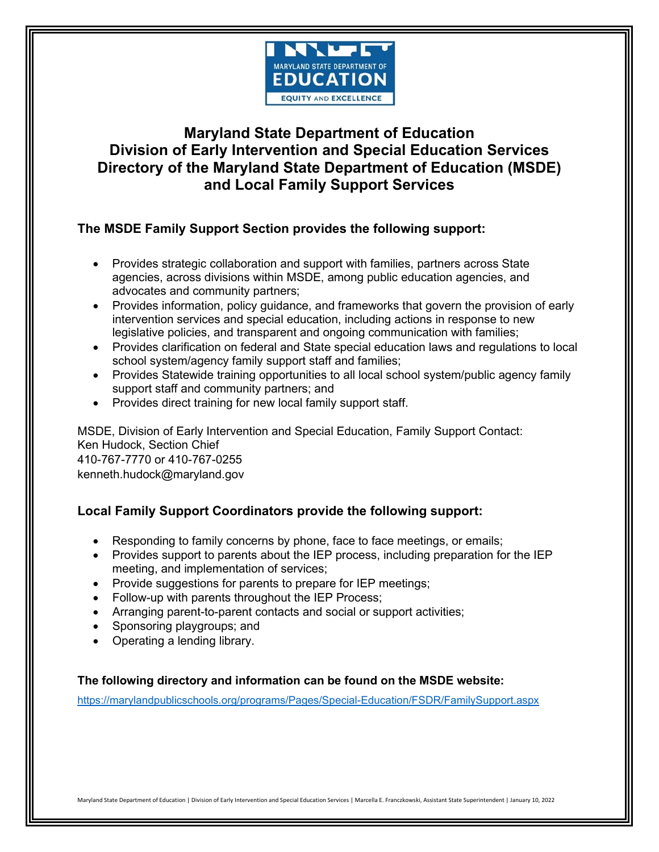

# **Maryland State Department of Education Division of Early Intervention and Special Education Services Directory of the Maryland State Department of Education (MSDE) and Local Family Support Services**

# **The MSDE Family Support Section provides the following support:**

- Provides strategic collaboration and support with families, partners across State agencies, across divisions within MSDE, among public education agencies, and advocates and community partners;
- Provides information, policy guidance, and frameworks that govern the provision of early intervention services and special education, including actions in response to new legislative policies, and transparent and ongoing communication with families;
- Provides clarification on federal and State special education laws and regulations to local school system/agency family support staff and families;
- Provides Statewide training opportunities to all local school system/public agency family support staff and community partners; and
- Provides direct training for new local family support staff.

MSDE, Division of Early Intervention and Special Education, Family Support Contact: Ken Hudock, Section Chief 410-767-7770 or 410-767-0255 kenneth.hudock@maryland.gov

# **Local Family Support Coordinators provide the following support:**

- Responding to family concerns by phone, face to face meetings, or emails;
- Provides support to parents about the IEP process, including preparation for the IEP meeting, and implementation of services;
- Provide suggestions for parents to prepare for IEP meetings;
- Follow-up with parents throughout the IEP Process;
- Arranging parent-to-parent contacts and social or support activities;
- Sponsoring playgroups; and
- Operating a lending library.

## **The following directory and information can be found on the MSDE website:**

<https://marylandpublicschools.org/programs/Pages/Special-Education/FSDR/FamilySupport.aspx>

Maryland State Department of Education | Division of Early Intervention and Special Education Services | Marcella E. Franczkowski, Assistant State Superintendent | January 10, 2022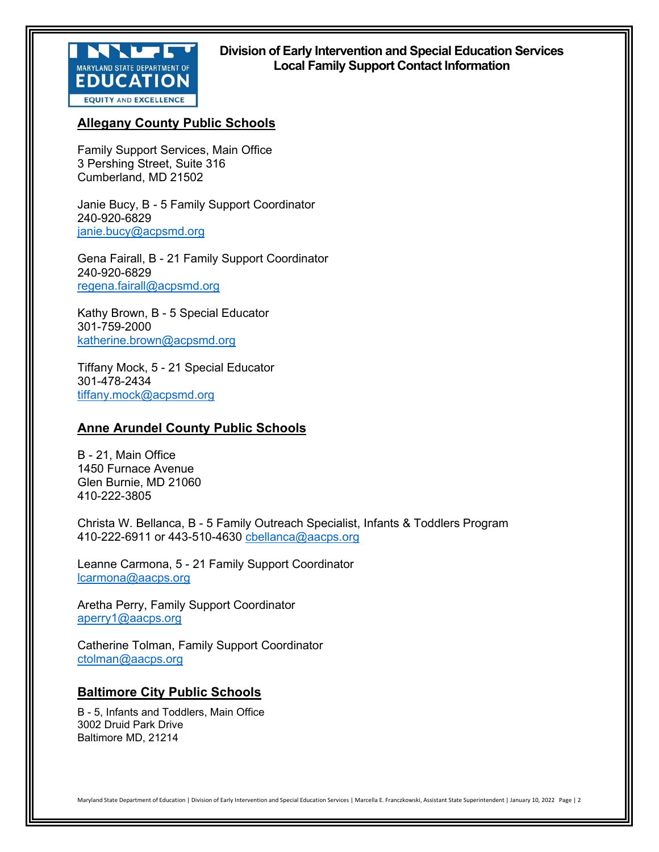

## **Division of Early Intervention and Special Education Services Local Family Support Contact Information**

# **Allegany County Public Schools**

Family Support Services, Main Office 3 Pershing Street, Suite 316 Cumberland, MD 21502

Janie Bucy, B - 5 Family Support Coordinator 240-920-6829 [janie.bucy@acpsmd.org](mailto:janie.bucy@acpsmd.org) 

Gena Fairall, B - 21 Family Support Coordinator 240-920-6829 [regena.fairall@acpsmd.org](mailto:regena.fairall@acpsmd.org) 

Kathy Brown, B - 5 Special Educator 301-759-2000 [katherine.brown@acpsmd.org](mailto:katherine.brown@acpsmd.org) 

Tiffany Mock, 5 - 21 Special Educator 301-478-2434 [tiffany.mock@acpsmd.org](mailto:tiffany.mock@acpsmd.org) 

## **Anne Arundel County Public Schools**

B - 21, Main Office 1450 Furnace Avenue Glen Burnie, MD 21060 410-222-3805

Christa W. Bellanca, B - 5 Family Outreach Specialist, Infants & Toddlers Program 410-222-6911 or 443-510-4630 [cbellanca@aacps.org](mailto:cbellanca@aacps.org)

Leanne Carmona, 5 - 21 Family Support Coordinator [lcarmona@aacps.org](mailto:lcarmona@aacps.org)

Aretha Perry, Family Support Coordinator [aperry1@aacps.org](mailto:aperry1@aacps.org)

Catherine Tolman, Family Support Coordinator [ctolman@aacps.org](mailto:ctolman@aacps.org)

## **Baltimore City Public Schools**

B - 5, Infants and Toddlers, Main Office 3002 Druid Park Drive Baltimore MD, 21214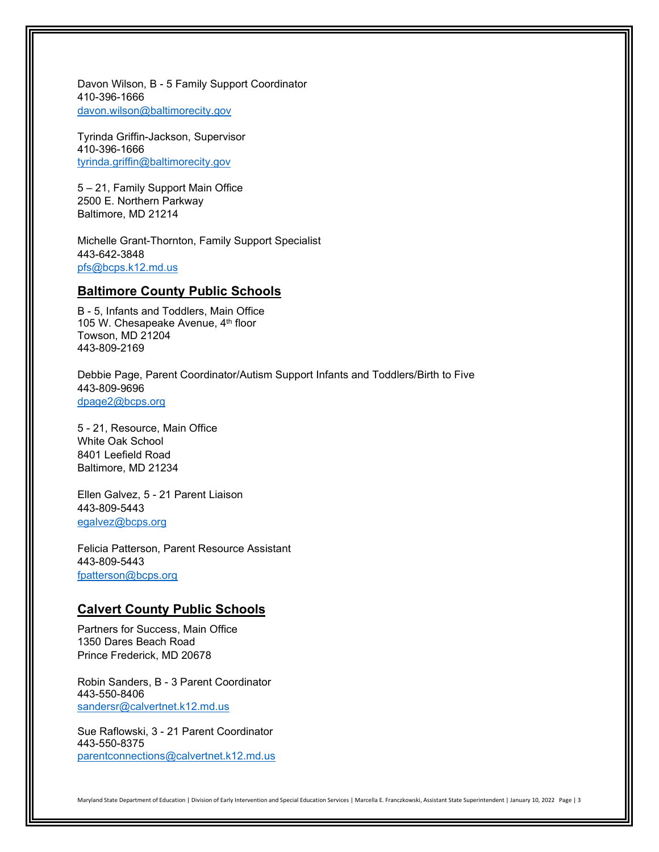Davon Wilson, B - 5 Family Support Coordinator 410-396-1666 [davon.wilson@baltimorecity.gov](mailto:davon.wilson@baltimorecity.gov) 

Tyrinda Griffin-Jackson, Supervisor 410-396-1666 [tyrinda.griffin@baltimorecity.gov](mailto:tyrinda.griffin@baltimorecity.gov)

5 – 21, Family Support Main Office 2500 E. Northern Parkway Baltimore, MD 21214

Michelle Grant-Thornton, Family Support Specialist 443-642-3848 [pfs@bcps.k12.md.us](mailto:pfs@bcps.k12.md.us) 

## **Baltimore County Public Schools**

B - 5, Infants and Toddlers, Main Office 105 W. Chesapeake Avenue, 4th floor Towson, MD 21204 443-809-2169

Debbie Page, Parent Coordinator/Autism Support Infants and Toddlers/Birth to Five 443-809-9696 [dpage2@bcps.org](mailto:dpage2@bcps.org) 

5 - 21, Resource, Main Office White Oak School 8401 Leefield Road Baltimore, MD 21234

Ellen Galvez, 5 - 21 Parent Liaison 443-809-5443 [egalvez@bcps.org](mailto:egalvez@bcps.org) 

Felicia Patterson, Parent Resource Assistant 443-809-5443 [fpatterson@bcps.org](mailto:fpatterson@bcps.org)

## **Calvert County Public Schools**

Partners for Success, Main Office 1350 Dares Beach Road Prince Frederick, MD 20678

Robin Sanders, B - 3 Parent Coordinator 443-550-8406 [sandersr@calvertnet.k12.md.us](mailto:sandersr@calvertnet.k12.md.us) 

Sue Raflowski, 3 - 21 Parent Coordinator 443-550-8375 [parentconnections@calvertnet.k12.md.us](mailto:parentconnections@calvertnet.k12.md.us)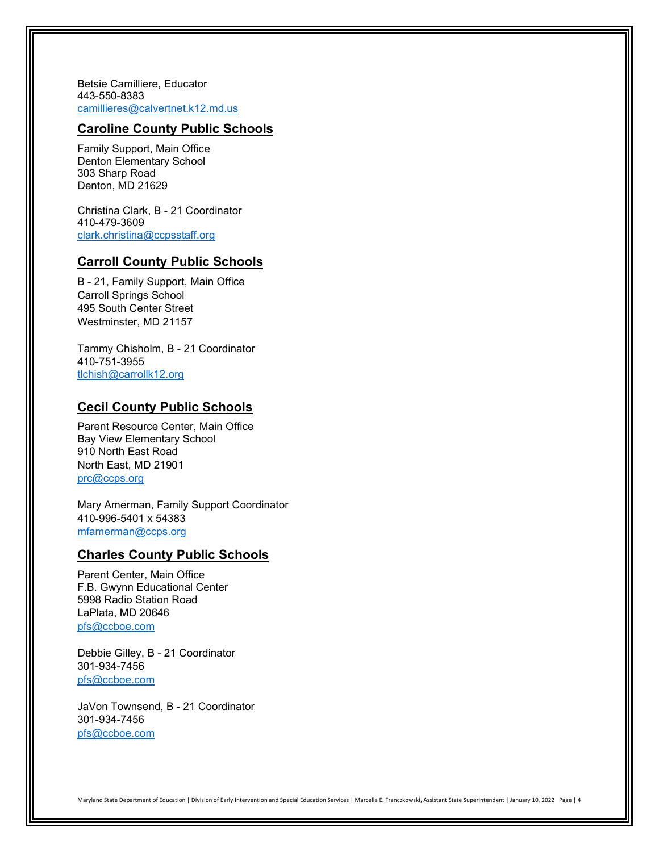Betsie Camilliere, Educator 443-550-8383 [camillieres@calvertnet.k12.md.us](mailto:camillieres@calvertnet.k12.md.us)

## **Caroline County Public Schools**

Family Support, Main Office Denton Elementary School 303 Sharp Road Denton, MD 21629

Christina Clark, B - 21 Coordinator 410-479-3609 [clark.christina@ccpsstaff.org](mailto:clark.christina@ccpsstaff.org) 

## **Carroll County Public Schools**

B - 21, Family Support, Main Office Carroll Springs School 495 South Center Street Westminster, MD 21157

Tammy Chisholm, B - 21 Coordinator 410-751-3955 [tlchish@carrollk12.org](mailto:tlchish@carrollk12.org) 

## **Cecil County Public Schools**

Parent Resource Center, Main Office Bay View Elementary School 910 North East Road North East, MD 21901 [prc@ccps.org](mailto:prc@ccps.org) 

Mary Amerman, Family Support Coordinator 410-996-5401 x 54383 [mfamerman@ccps.org](mailto:mfamerman@ccps.org)

### **Charles County Public Schools**

Parent Center, Main Office F.B. Gwynn Educational Center 5998 Radio Station Road LaPlata, MD 20646 [pfs@ccboe.com](mailto:pfs@ccboe.com) 

Debbie Gilley, B - 21 Coordinator 301-934-7456 [pfs@ccboe.com](mailto:pfs@ccboe.com) 

JaVon Townsend, B - 21 Coordinator 301-934-7456 [pfs@ccboe.com](mailto:pfs@ccboe.com)

Maryland State Department of Education | Division of Early Intervention and Special Education Services | Marcella E. Franczkowski, Assistant State Superintendent | January 10, 2022 Page | 4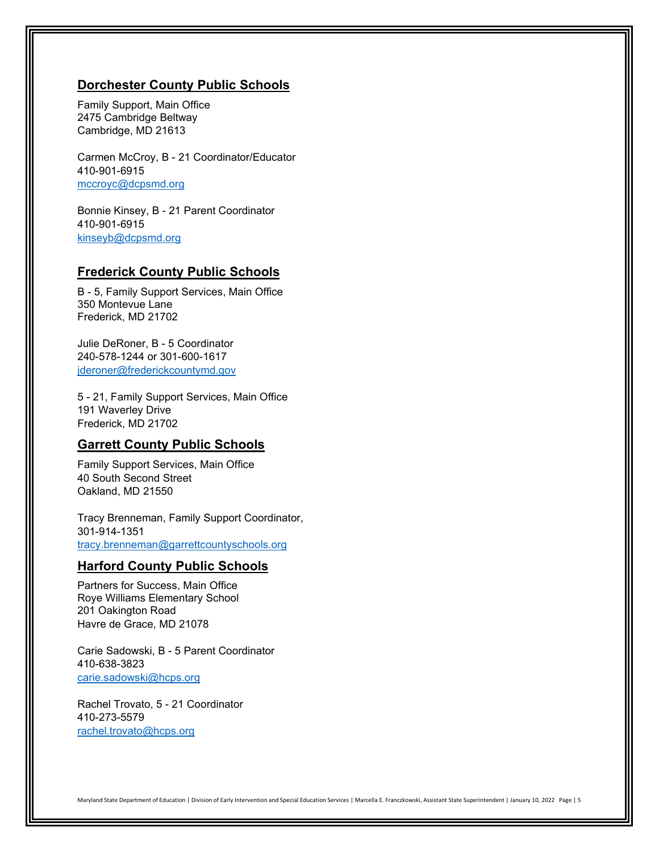### **Dorchester County Public Schools**

Family Support, Main Office 2475 Cambridge Beltway Cambridge, MD 21613

Carmen McCroy, B - 21 Coordinator/Educator 410-901-6915 [mccroyc@dcpsmd.org](mailto:mccroyc@dcpsmd.org) 

Bonnie Kinsey, B - 21 Parent Coordinator 410-901-6915 [kinseyb@dcpsmd.org](mailto:kinseyb@dcpsmd.org)

## **Frederick County Public Schools**

B - 5, Family Support Services, Main Office 350 Montevue Lane Frederick, MD 21702

Julie DeRoner, B - 5 Coordinator 240-578-1244 or 301-600-1617 [jderoner@frederickcountymd.gov](mailto:jderoner@frederickcountymd.gov) 

5 - 21, Family Support Services, Main Office 191 Waverley Drive Frederick, MD 21702

### **Garrett County Public Schools**

Family Support Services, Main Office 40 South Second Street Oakland, MD 21550

Tracy Brenneman, Family Support Coordinator, 301-914-1351 [tracy.brenneman@garrettcountyschools.org](mailto:tracy.brenneman@garrettcountyschools.org)

#### **Harford County Public Schools**

Partners for Success, Main Office Roye Williams Elementary School 201 Oakington Road Havre de Grace, MD 21078

Carie Sadowski, B - 5 Parent Coordinator 410-638-3823 [carie.sadowski@hcps.org](mailto:carie.sadowski@hcps.org) 

Rachel Trovato, 5 - 21 Coordinator 410-273-5579 [rachel.trovato@hcps.org](mailto:rachel.trovato@hcps.org)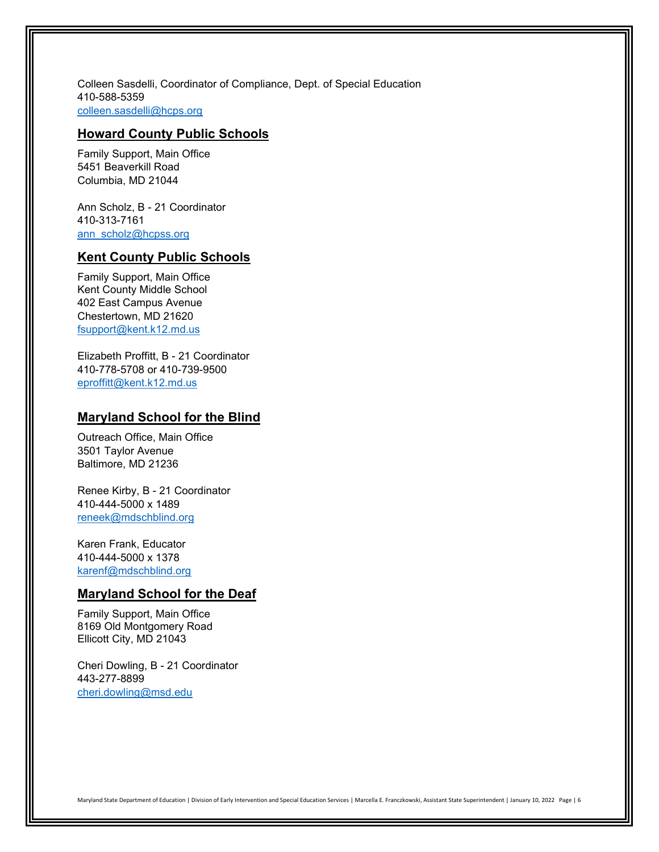Colleen Sasdelli, Coordinator of Compliance, Dept. of Special Education 410-588-5359 [colleen.sasdelli@hcps.org](mailto:colleen.sasdelli@hcps.org) 

### **Howard County Public Schools**

Family Support, Main Office 5451 Beaverkill Road Columbia, MD 21044

Ann Scholz, B - 21 Coordinator 410-313-7161 ann\_scholz@hcpss.org

## **Kent County Public Schools**

Family Support, Main Office Kent County Middle School 402 East Campus Avenue Chestertown, MD 21620 [fsupport@kent.k12.md.us](mailto:fsupport@kent.k12.md.us) 

Elizabeth Proffitt, B - 21 Coordinator 410-778-5708 or 410-739-9500 [eproffitt@kent.k12.md.us](mailto:eproffitt@kent.k12.md.us) 

### **Maryland School for the Blind**

Outreach Office, Main Office 3501 Taylor Avenue Baltimore, MD 21236

Renee Kirby, B - 21 Coordinator 410-444-5000 x 1489 [reneek@mdschblind.org](mailto:reneek@mdschblind.org) 

Karen Frank, Educator 410-444-5000 x 1378 [karenf@mdschblind.org](mailto:karenf@mdschblind.org) 

## **Maryland School for the Deaf**

Family Support, Main Office 8169 Old Montgomery Road Ellicott City, MD 21043

Cheri Dowling, B - 21 Coordinator 443-277-8899 [cheri.dowling@msd.edu](mailto:cheri.dowling@msd.edu)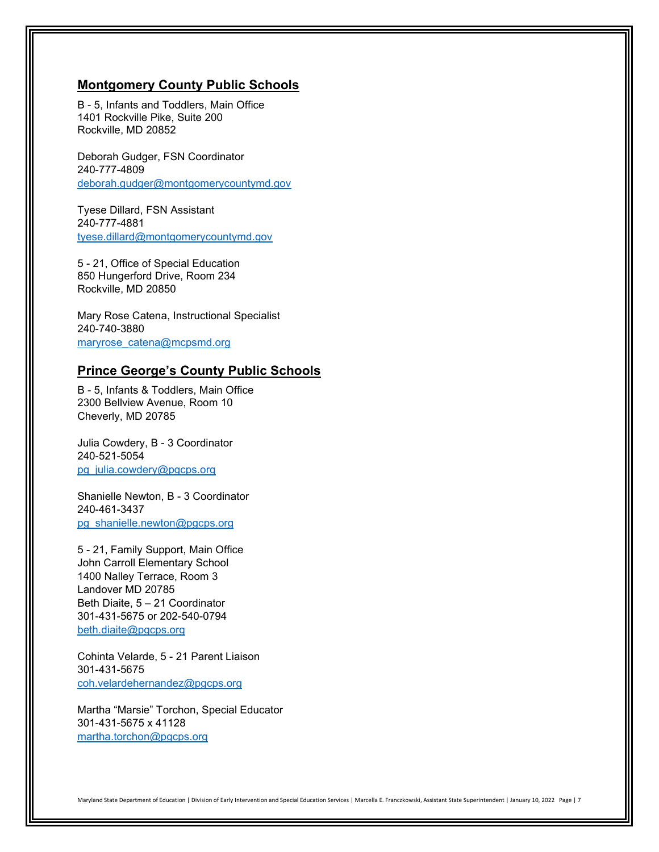### **Montgomery County Public Schools**

B - 5, Infants and Toddlers, Main Office 1401 Rockville Pike, Suite 200 Rockville, MD 20852

Deborah Gudger, FSN Coordinator 240-777-4809 [deborah.gudger@montgomerycountymd.gov](mailto:deborah.gudger@montgomerycountymd.gov) 

Tyese Dillard, FSN Assistant 240-777-4881 [tyese.dillard@montgomerycountymd.gov](mailto:tyese.dillard@montgomerycountymd.gov) 

5 - 21, Office of Special Education 850 Hungerford Drive, Room 234 Rockville, MD 20850

Mary Rose Catena, Instructional Specialist 240-740-3880 [maryrose\\_catena@mcpsmd.org](mailto:maryrose_catena@mcpsmd.org)

### **Prince George's County Public Schools**

B - 5, Infants & Toddlers, Main Office 2300 Bellview Avenue, Room 10 Cheverly, MD 20785

Julia Cowdery, B - 3 Coordinator 240-521-5054 [pg\\_julia.cowdery@pgcps.org](mailto:pg_julia.cowdery@pgcps.org) 

Shanielle Newton, B - 3 Coordinator 240-461-3437 [pg\\_shanielle.newton@pgcps.org](mailto:pg_shanielle.newton@pgcps.org) 

5 - 21, Family Support, Main Office John Carroll Elementary School 1400 Nalley Terrace, Room 3 Landover MD 20785 Beth Diaite, 5 – 21 Coordinator 301-431-5675 or 202-540-0794 [beth.diaite@pgcps.org](mailto:beth.diaite@pgcps.org) 

Cohinta Velarde, 5 - 21 Parent Liaison 301-431-5675 [coh.velardehernandez@pgcps.org](mailto:coh.velardehernandez@pgcps.org) 

Martha "Marsie" Torchon, Special Educator 301-431-5675 x 41128 [martha.torchon@pgcps.org](mailto:martha.torchon@pgcps.org)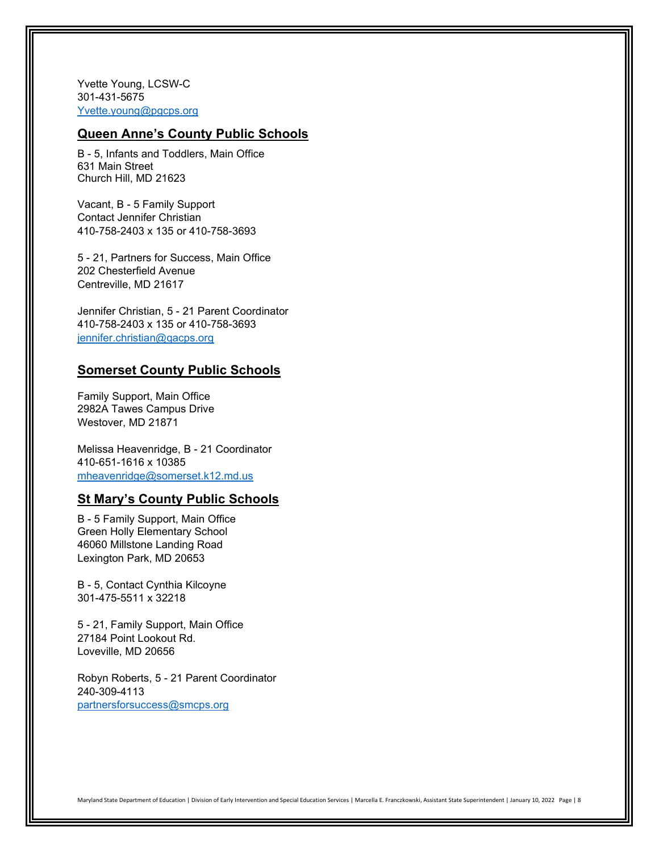Yvette Young, LCSW-C 301-431-5675 [Yvette.young@pgcps.org](mailto:Yvette.young@pgcps.org) 

#### **Queen Anne's County Public Schools**

B - 5, Infants and Toddlers, Main Office 631 Main Street Church Hill, MD 21623

Vacant, B - 5 Family Support Contact Jennifer Christian 410-758-2403 x 135 or 410-758-3693

5 - 21, Partners for Success, Main Office 202 Chesterfield Avenue Centreville, MD 21617

Jennifer Christian, 5 - 21 Parent Coordinator 410-758-2403 x 135 or 410-758-3693 [jennifer.christian@qacps.org](mailto:jennifer.christian@qacps.org) 

### **Somerset County Public Schools**

Family Support, Main Office 2982A Tawes Campus Drive Westover, MD 21871

Melissa Heavenridge, B - 21 Coordinator 410-651-1616 x 10385 [mheavenridge@somerset.k12.md.us](mailto:mheavenridge@somerset.k12.md.us) 

### **St Mary's County Public Schools**

B - 5 Family Support, Main Office Green Holly Elementary School 46060 Millstone Landing Road Lexington Park, MD 20653

B - 5, Contact Cynthia Kilcoyne 301-475-5511 x 32218

5 - 21, Family Support, Main Office 27184 Point Lookout Rd. Loveville, MD 20656

Robyn Roberts, 5 - 21 Parent Coordinator 240-309-4113 [partnersforsuccess@smcps.org](mailto:partnersforsuccess@smcps.org)